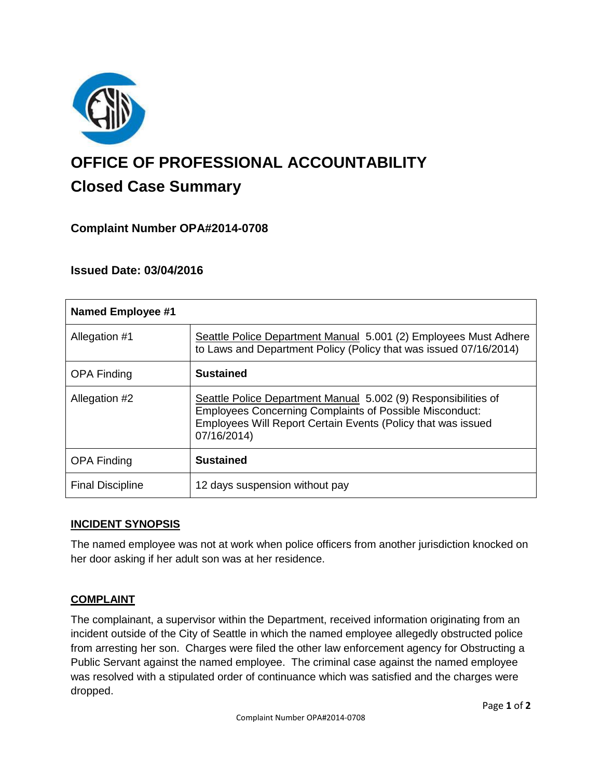

# **OFFICE OF PROFESSIONAL ACCOUNTABILITY Closed Case Summary**

# **Complaint Number OPA#2014-0708**

# **Issued Date: 03/04/2016**

| <b>Named Employee #1</b> |                                                                                                                                                                                                                 |
|--------------------------|-----------------------------------------------------------------------------------------------------------------------------------------------------------------------------------------------------------------|
| Allegation #1            | Seattle Police Department Manual 5.001 (2) Employees Must Adhere<br>to Laws and Department Policy (Policy that was issued 07/16/2014)                                                                           |
| <b>OPA Finding</b>       | <b>Sustained</b>                                                                                                                                                                                                |
| Allegation #2            | Seattle Police Department Manual 5.002 (9) Responsibilities of<br><b>Employees Concerning Complaints of Possible Misconduct:</b><br>Employees Will Report Certain Events (Policy that was issued<br>07/16/2014) |
| <b>OPA Finding</b>       | <b>Sustained</b>                                                                                                                                                                                                |
| <b>Final Discipline</b>  | 12 days suspension without pay                                                                                                                                                                                  |

# **INCIDENT SYNOPSIS**

The named employee was not at work when police officers from another jurisdiction knocked on her door asking if her adult son was at her residence.

## **COMPLAINT**

The complainant, a supervisor within the Department, received information originating from an incident outside of the City of Seattle in which the named employee allegedly obstructed police from arresting her son. Charges were filed the other law enforcement agency for Obstructing a Public Servant against the named employee. The criminal case against the named employee was resolved with a stipulated order of continuance which was satisfied and the charges were dropped.